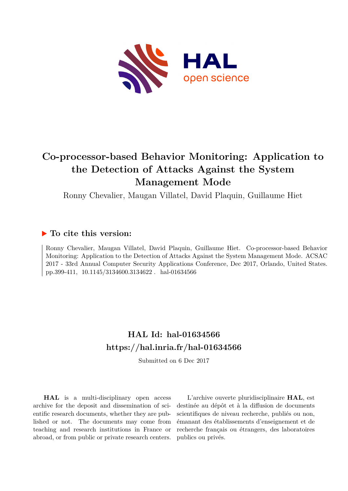

# **Co-processor-based Behavior Monitoring: Application to the Detection of Attacks Against the System Management Mode**

Ronny Chevalier, Maugan Villatel, David Plaquin, Guillaume Hiet

## **To cite this version:**

Ronny Chevalier, Maugan Villatel, David Plaquin, Guillaume Hiet. Co-processor-based Behavior Monitoring: Application to the Detection of Attacks Against the System Management Mode. ACSAC 2017 - 33rd Annual Computer Security Applications Conference, Dec 2017, Orlando, United States. pp.399-411, 10.1145/3134600.3134622. hal-01634566

## **HAL Id: hal-01634566 <https://hal.inria.fr/hal-01634566>**

Submitted on 6 Dec 2017

**HAL** is a multi-disciplinary open access archive for the deposit and dissemination of scientific research documents, whether they are published or not. The documents may come from teaching and research institutions in France or abroad, or from public or private research centers.

L'archive ouverte pluridisciplinaire **HAL**, est destinée au dépôt et à la diffusion de documents scientifiques de niveau recherche, publiés ou non, émanant des établissements d'enseignement et de recherche français ou étrangers, des laboratoires publics ou privés.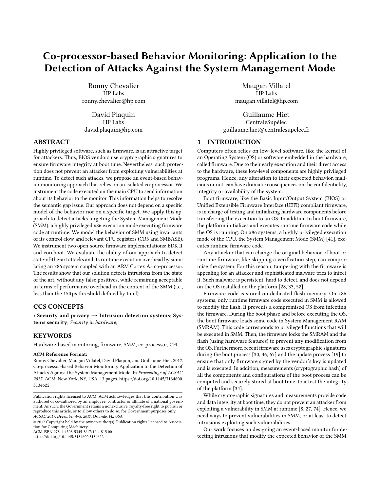## Co-processor-based Behavior Monitoring: Application to the Detection of Attacks Against the System Management Mode

Ronny Chevalier HP Labs ronny.chevalier@hp.com

David Plaquin HP Labs david.plaquin@hp.com

## ABSTRACT

Highly privileged software, such as firmware, is an attractive target for attackers. Thus, BIOS vendors use cryptographic signatures to ensure firmware integrity at boot time. Nevertheless, such protection does not prevent an attacker from exploiting vulnerabilities at runtime. To detect such attacks, we propose an event-based behavior monitoring approach that relies on an isolated co-processor. We instrument the code executed on the main CPU to send information about its behavior to the monitor. This information helps to resolve the semantic gap issue. Our approach does not depend on a specific model of the behavior nor on a specific target. We apply this approach to detect attacks targeting the System Management Mode (SMM), a highly privileged x86 execution mode executing firmware code at runtime. We model the behavior of SMM using invariants of its control-flow and relevant CPU registers (CR3 and SMBASE). We instrument two open-source firmware implementations: EDK II and coreboot. We evaluate the ability of our approach to detect state-of-the-art attacks and its runtime execution overhead by simulating an x86 system coupled with an ARM Cortex A5 co-processor. The results show that our solution detects intrusions from the state of the art, without any false positives, while remaining acceptable in terms of performance overhead in the context of the SMM (i.e., less than the 150 µs threshold defined by Intel).

## CCS CONCEPTS

• Security and privacy  $\rightarrow$  Intrusion detection systems; Systems security; Security in hardware;

## KEYWORDS

Hardware-based monitoring, firmware, SMM, co-processor, CFI

#### ACM Reference Format:

Ronny Chevalier, Maugan Villatel, David Plaquin, and Guillaume Hiet. 2017. Co-processor-based Behavior Monitoring: Application to the Detection of Attacks Against the System Management Mode. In Proceedings of ACSAC 2017. ACM, New York, NY, USA, 13 pages. [https://doi.org/10.1145/3134600.](https://doi.org/10.1145/3134600.3134622) [3134622](https://doi.org/10.1145/3134600.3134622)

 $\circledcirc$  2017 Copyright held by the owner/author(s). Publication rights licensed to Association for Computing Machinery.

ACM ISBN 978-1-4503-5345-8/17/12. . . \$15.00

<https://doi.org/10.1145/3134600.3134622>

Maugan Villatel HP Labs maugan.villatel@hp.com

Guillaume Hiet CentraleSupélec guillaume.hiet@centralesupelec.fr

## 1 INTRODUCTION

Computers often relies on low-level software, like the kernel of an Operating System (OS) or software embedded in the hardware, called firmware. Due to their early execution and their direct access to the hardware, these low-level components are highly privileged programs. Hence, any alteration to their expected behavior, malicious or not, can have dramatic consequences on the confidentiality, integrity or availability of the system.

Boot firmware, like the Basic Input/Output System (BIOS) or Unified Extensible Firmware Interface (UEFI) compliant firmware, is in charge of testing and initializing hardware components before transferring the execution to an OS. In addition to boot firmware, the platform initializes and executes runtime firmware code while the OS is running. On x86 systems, a highly privileged execution mode of the CPU, the System Management Mode (SMM) [41], executes runtime firmware code.

Any attacker that can change the original behavior of boot or runtime firmware, like skipping a verification step, can compromise the system. For this reason, tampering with the firmware is appealing for an attacker and sophisticated malware tries to infect it. Such malware is persistent, hard to detect, and does not depend on the OS installed on the platform [28, 33, 52].

Firmware code is stored on dedicated flash memory. On x86 systems, only runtime firmware code executed in SMM is allowed to modify the flash. It prevents a compromised OS from infecting the firmware. During the boot phase and before executing the OS, the boot firmware loads some code in System Management RAM (SMRAM). This code corresponds to privileged functions that will be executed in SMM. Then, the firmware locks the SMRAM and the flash (using hardware features) to prevent any modification from the OS. Furthermore, recent firmware uses cryptographic signatures during the boot process [30, 36, 67] and the update process [19] to ensure that only firmware signed by the vendor's key is updated and is executed. In addition, measurements (cryptographic hash) of all the components and configurations of the boot process can be computed and securely stored at boot time, to attest the integrity of the platform [34].

While cryptographic signatures and measurements provide code and data integrity at boot time, they do not prevent an attacker from exploiting a vulnerability in SMM at runtime [8, 27, 74]. Hence, we need ways to prevent vulnerabilities in SMM, or at least to detect intrusions exploiting such vulnerabilities.

Our work focuses on designing an event-based monitor for detecting intrusions that modify the expected behavior of the SMM

Publication rights licensed to ACM. ACM acknowledges that this contribution was authored or co-authored by an employee, contractor or affiliate of a national government. As such, the Government retains a nonexclusive, royalty-free right to publish or reproduce this article, or to allow others to do so, for Government purposes only. ACSAC 2017, December 4–8, 2017, Orlando, FL, USA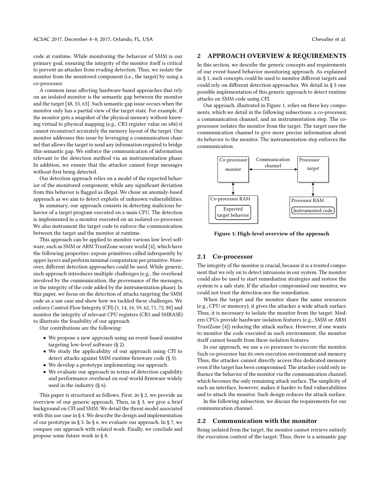code at runtime. While monitoring the behavior of SMM is our primary goal, ensuring the integrity of the monitor itself is critical to prevent an attacker from evading detection. Thus, we isolate the monitor from the monitored component (i.e., the target) by using a co-processor.

A common issue affecting hardware-based approaches that rely on an isolated monitor is the semantic gap between the monitor and the target [48, 55, 63]. Such semantic gap issue occurs when the monitor only has a partial view of the target state. For example, if the monitor gets a snapshot of the physical memory without knowing virtual to physical mapping (e.g., CR3 register value on x86) it cannot reconstruct accurately the memory layout of the target. Our monitor addresses this issue by leveraging a communication channel that allows the target to send any information required to bridge this semantic gap. We enforce the communication of information relevant to the detection method via an instrumentation phase. In addition, we ensure that the attacker cannot forge messages without first being detected.

Our detection approach relies on a model of the expected behavior of the monitored component, while any significant deviation from this behavior is flagged as illegal. We chose an anomaly-based approach as we aim to detect exploits of unknown vulnerabilities.

In summary, our approach consists in detecting malicious behavior of a target program executed on a main CPU. The detection is implemented in a monitor executed on an isolated co-processor. We also instrument the target code to enforce the communication between the target and the monitor at runtime.

This approach can be applied to monitor various low level software, such as SMM or ARM TrustZone secure world [4], which have the following properties: expose primitives called infrequently by upper layers and perform minimal computation per primitive. Moreover, different detection approaches could be used. While generic, such approach introduces multiple challenges (e.g., the overhead involved by the communication, the provenance of the messages, or the integrity of the code added by the instrumentation phase). In this paper, we focus on the detection of attacks targeting the SMM code as a use case and show how we tackled these challenges. We enforce Control-Flow Integrity (CFI) [1, 14, 16, 59, 62, 71, 72, 80] and monitor the integrity of relevant CPU registers (CR3 and SMBASE) to illustrate the feasibility of our approach.

Our contributions are the following:

- We propose a new approach using an event-based monitor targeting low-level software (§ 2).
- We study the applicability of our approach using CFI to detect attacks against SMM runtime firmware code (§ 5).
- We develop a prototype implementing our approach.
- We evaluate our approach in terms of detection capability and performance overhead on real-world firmware widely used in the industry (§ 6).

This paper is structured as follows. First, in § 2, we provide an overview of our generic approach. Then, in § 3, we give a brief background on CFI and SMM. We detail the threat model associated with this use case in § 4. We describe the design and implementation of our prototype in § 5. In § 6, we evaluate our approach. In § 7, we compare our approach with related work. Finally, we conclude and propose some future work in § 8.

#### 2 APPROACH OVERVIEW & REQUIREMENTS

In this section, we describe the generic concepts and requirements of our event-based behavior monitoring approach. As explained in § 1, such concepts could be used to monitor different targets and could rely on different detection approaches. We detail in § 5 one possible implementation of this generic approach to detect runtime attacks on SMM code using CFI.

Our approach, illustrated in Figure 1, relies on three key components, which we detail in the following subsections: a co-processor, a communication channel, and an instrumentation step. The coprocessor isolates the monitor from the target. The target uses the communication channel to give more precise information about its behavior to the monitor. The instrumentation step enforces the communication.



Figure 1: High-level overview of the approach

### 2.1 Co-processor

The integrity of the monitor is crucial, because it is a trusted component that we rely on to detect intrusions in our system. The monitor could also be used to start remediation strategies and restore the system to a safe state. If the attacker compromised our monitor, we could not trust the detection nor the remediation.

When the target and the monitor share the same resources (e.g., CPU or memory), it gives the attacker a wide attack surface. Thus, it is necessary to isolate the monitor from the target. Modern CPUs provide hardware isolation features (e.g., SMM or ARM TrustZone [4]) reducing the attack surface. However, if one wants to monitor the code executed in such environment, the monitor itself cannot benefit from these isolation features.

In our approach, we use a co-processor to execute the monitor. Such co-processor has its own execution environment and memory. Thus, the attacker cannot directly access this dedicated memory even if the target has been compromised. The attacker could only influence the behavior of the monitor via the communication channel, which becomes the only remaining attack surface. The simplicity of such an interface, however, makes it harder to find vulnerabilities and to attack the monitor. Such design reduces the attack surface.

In the following subsection, we discuss the requirements for our communication channel.

#### 2.2 Communication with the monitor

Being isolated from the target, the monitor cannot retrieve entirely the execution context of the target. Thus, there is a semantic gap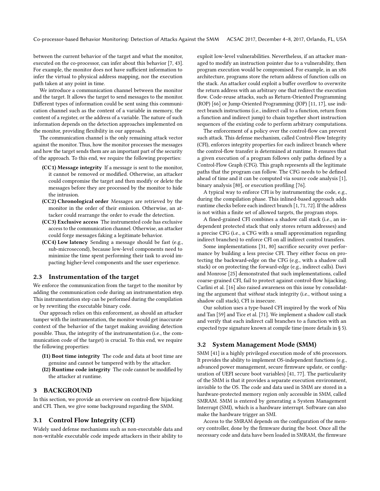between the current behavior of the target and what the monitor, executed on the co-processor, can infer about this behavior [7, 43]. For example, the monitor does not have sufficient information to infer the virtual to physical address mapping, nor the execution path taken at any point in time.

We introduce a communication channel between the monitor and the target. It allows the target to send messages to the monitor. Different types of information could be sent using this communication channel such as the content of a variable in memory, the content of a register, or the address of a variable. The nature of such information depends on the detection approaches implemented on the monitor, providing flexibility in our approach.

The communication channel is the only remaining attack vector against the monitor. Thus, how the monitor processes the messages and how the target sends them are an important part of the security of the approach. To this end, we require the following properties:

- (CC1) Message integrity If a message is sent to the monitor, it cannot be removed or modified. Otherwise, an attacker could compromise the target and then modify or delete the messages before they are processed by the monitor to hide the intrusion.
- (CC2) Chronological order Messages are retrieved by the monitor in the order of their emission. Otherwise, an attacker could rearrange the order to evade the detection.
- (CC3) Exclusive access The instrumented code has exclusive access to the communication channel. Otherwise, an attacker could forge messages faking a legitimate behavior.
- (CC4) Low latency Sending a message should be fast (e.g., sub-microsecond), because low-level components need to minimize the time spent performing their task to avoid impacting higher-level components and the user experience.

#### 2.3 Instrumentation of the target

We enforce the communication from the target to the monitor by adding the communication code during an instrumentation step. This instrumentation step can be performed during the compilation or by rewriting the executable binary code.

Our approach relies on this enforcement, as should an attacker tamper with the instrumentation, the monitor would get inaccurate context of the behavior of the target making avoiding detection possible. Thus, the integrity of the instrumentation (i.e., the communication code of the target) is crucial. To this end, we require the following properties:

- (I1) Boot time integrity The code and data at boot time are genuine and cannot be tampered with by the attacker.
- (I2) Runtime code integrity The code cannot be modified by the attacker at runtime.

#### 3 BACKGROUND

In this section, we provide an overview on control-flow hijacking and CFI. Then, we give some background regarding the SMM.

#### 3.1 Control Flow Integrity (CFI)

Widely used defense mechanisms such as non-executable data and non-writable executable code impede attackers in their ability to exploit low-level vulnerabilities. Nevertheless, if an attacker managed to modify an instruction pointer due to a vulnerability, then program execution would be compromised. For example, in an x86 architecture, programs store the return address of function calls on the stack. An attacker could exploit a buffer overflow to overwrite the return address with an arbitrary one that redirect the execution flow. Code-reuse attacks, such as Return-Oriented Programming (ROP) [66] or Jump-Oriented Programming (JOP) [11, 17], use indirect branch instructions (i.e., indirect call to a function, return from a function and indirect jump) to chain together short instruction sequences of the existing code to perform arbitrary computations.

The enforcement of a policy over the control-flow can prevent such attack. This defense mechanism, called Control-Flow Integrity (CFI), enforces integrity properties for each indirect branch where the control-flow transfer is determined at runtime. It ensures that a given execution of a program follows only paths defined by a Control-Flow Graph (CFG). This graph represents all the legitimate paths that the program can follow. The CFG needs to be defined ahead of time and it can be computed via source code analysis [1], binary analysis [80], or execution profiling [76].

A typical way to enforce CFI is by instrumenting the code, e.g., during the compilation phase. This inlined-based approach adds runtime checks before each indirect branch [1, 71, 72]. If the address is not within a finite set of allowed targets, the program stops.

A fined-grained CFI combines a shadow call stack (i.e., an independent protected stack that only stores return addresses) and a precise CFG (i.e., a CFG with a small approximation regarding indirect branches) to enforce CFI on all indirect control transfers.

Some implementations [31, 80] sacrifice security over performance by building a less precise CFI. They either focus on protecting the backward-edge on the CFG (e.g., with a shadow call stack) or on protecting the forward-edge (e.g., indirect calls). Davi and Monrose [25] demonstrated that such implementations, called coarse-grained CFI, fail to protect against control-flow hijacking. Carlini et al. [16] also raised awareness on this issue by consolidating the argument that without stack integrity (i.e., without using a shadow call stack), CFI is insecure.

Our solution uses a type-based CFI inspired by the work of Niu and Tan [59] and Tice et al. [71]. We implement a shadow call stack and verify that each indirect call branches to a function with an expected type signature known at compile time (more details in § 5).

## 3.2 System Management Mode (SMM)

SMM [41] is a highly privileged execution mode of x86 processors. It provides the ability to implement OS-independent functions (e.g., advanced power management, secure firmware update, or configuration of UEFI secure boot variables) [41, 77]. The particularity of the SMM is that it provides a separate execution environment, invisible to the OS. The code and data used in SMM are stored in a hardware-protected memory region only accessible in SMM, called SMRAM. SMM is entered by generating a System Management Interrupt (SMI), which is a hardware interrupt. Software can also make the hardware trigger an SMI.

Access to the SMRAM depends on the configuration of the memory controller, done by the firmware during the boot. Once all the necessary code and data have been loaded in SMRAM, the firmware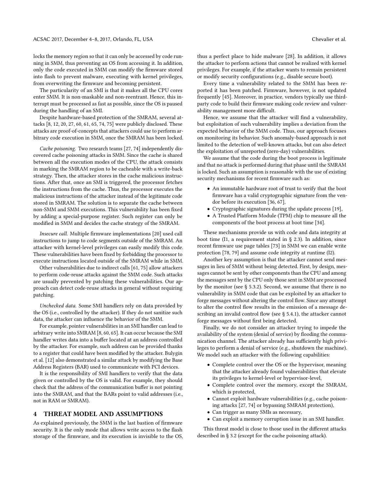locks the memory region so that it can only be accessed by code running in SMM, thus preventing an OS from accessing it. In addition, only the code executed in SMM can modify the firmware stored into flash to prevent malware, executing with kernel privileges, from overwriting the firmware and becoming persistent.

The particularity of an SMI is that it makes all the CPU cores enter SMM. It is non-maskable and non-reentrant. Hence, this interrupt must be processed as fast as possible, since the OS is paused during the handling of an SMI.

Despite hardware-based protection of the SMRAM, several attacks [8, 12, 20, 27, 60, 61, 65, 74, 75] were publicly disclosed. These attacks are proof-of-concepts that attackers could use to perform arbitrary code execution in SMM, once the SMRAM has been locked.

Cache poisoning. Two research teams [27, 74] independently discovered cache poisoning attacks in SMM. Since the cache is shared between all the execution modes of the CPU, the attack consists in marking the SMRAM region to be cacheable with a write-back strategy. Then, the attacker stores in the cache malicious instructions. After that, once an SMI is triggered, the processor fetches the instructions from the cache. Thus, the processor executes the malicious instructions of the attacker instead of the legitimate code stored in SMRAM. The solution is to separate the cache between non-SMM and SMM executions. This vulnerability has been fixed by adding a special-purpose register. Such register can only be modified in SMM and decides the cache strategy of the SMRAM.

Insecure call. Multiple firmware implementations [20] used call instructions to jump to code segments outside of the SMRAM. An attacker with kernel-level privileges can easily modify this code. These vulnerabilities have been fixed by forbidding the processor to execute instructions located outside of the SMRAM while in SMM.

Other vulnerabilities due to indirect calls [61, 75] allow attackers to perform code-reuse attacks against the SMM code. Such attacks are usually prevented by patching these vulnerabilities. Our approach can detect code-reuse attacks in general without requiring patching.

Unchecked data. Some SMI handlers rely on data provided by the OS (i.e., controlled by the attacker). If they do not sanitize such data, the attacker can influence the behavior of the SMM.

For example, pointer vulnerabilities in an SMI handler can lead to arbitrary write into SMRAM [8, 60, 65]. It can occur because the SMI handler writes data into a buffer located at an address controlled by the attacker. For example, such address can be provided thanks to a register that could have been modified by the attacker. Bulygin et al. [12] also demonstrated a similar attack by modifying the Base Address Registers (BAR) used to communicate with PCI devices.

It is the responsibility of SMI handlers to verify that the data given or controlled by the OS is valid. For example, they should check that the address of the communication buffer is not pointing into the SMRAM, and that the BARs point to valid addresses (i.e., not in RAM or SMRAM).

#### 4 THREAT MODEL AND ASSUMPTIONS

As explained previously, the SMM is the last bastion of firmware security. It is the only mode that allows write access to the flash storage of the firmware, and its execution is invisible to the OS, thus a perfect place to hide malware [28]. In addition, it allows the attacker to perform actions that cannot be realized with kernel privileges. For example, if the attacker wants to remain persistent or modify security configurations (e.g., disable secure boot).

Every time a vulnerability related to the SMM has been reported it has been patched. Firmware, however, is not updated frequently [45]. Moreover, in practice, vendors typically use thirdparty code to build their firmware making code review and vulnerability management more difficult.

Hence, we assume that the attacker will find a vulnerability, but exploitation of such vulnerability implies a deviation from the expected behavior of the SMM code. Thus, our approach focuses on monitoring its behavior. Such anomaly-based approach is not limited to the detection of well-known attacks, but can also detect the exploitation of unreported (zero-day) vulnerabilities.

We assume that the code during the boot process is legitimate and that no attack is performed during that phase until the SMRAM is locked. Such an assumption is reasonable with the use of existing security mechanisms for recent firmware such as:

- An immutable hardware root of trust to verify that the boot firmware has a valid cryptographic signature from the vendor before its execution [36, 67],
- Cryptographic signatures during the update process [19],
- A Trusted Platform Module (TPM) chip to measure all the components of the boot process at boot time [34].

These mechanisms provide us with code and data integrity at boot time (I1, a requirement stated in § 2.3). In addition, since recent firmware use page tables [73] in SMM we can enable write protection [78, 79] and assume code integrity at runtime (I2).

Another key assumption is that the attacker cannot send messages in lieu of SMM without being detected. First, by design, messages cannot be sent by other components than the CPU and among the messages sent by the CPU only those sent in SMM are processed by the monitor (see § 5.3.2). Second, we assume that there is no vulnerability in SMM code that can be exploited by an attacker to forge messages without altering the control flow. Since any attempt to alter the control flow results in the emission of a message describing an invalid control flow (see § 5.4.1), the attacker cannot forge messages without first being detected.

Finally, we do not consider an attacker trying to impede the availability of the system (denial of service) by flooding the communication channel. The attacker already has sufficiently high privileges to perform a denial of service (e.g., shutdown the machine). We model such an attacker with the following capabilities:

- Complete control over the OS or the hypervisor, meaning that the attacker already found vulnerabilities that elevate its privileges to kernel-level or hypervisor-level,
- Complete control over the memory, except the SMRAM, which is protected,
- Cannot exploit hardware vulnerabilities (e.g., cache poisoning attacks [27, 74] or bypassing SMRAM protection),
- Can trigger as many SMIs as necessary,
- Can exploit a memory corruption issue in an SMI handler.

This threat model is close to those used in the different attacks described in § 3.2 (except for the cache poisoning attack).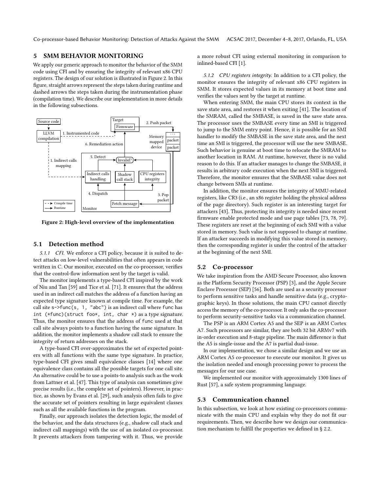Co-processor-based Behavior Monitoring: Detection of Attacks Against the SMM ACSAC 2017, December 4–8, 2017, Orlando, FL, USA

## 5 SMM BEHAVIOR MONITORING

We apply our generic approach to monitor the behavior of the SMM code using CFI and by ensuring the integrity of relevant x86 CPU registers. The design of our solution is illustrated in Figure 2. In this figure, straight arrows represent the steps taken during runtime and dashed arrows the steps taken during the instrumentation phase (compilation time). We describe our implementation in more details in the following subsections.



Figure 2: High-level overview of the implementation

#### 5.1 Detection method

5.1.1 CFI. We enforce a CFI policy, because it is suited to detect attacks on low-level vulnerabilities that often appears in code written in C. Our monitor, executed on the co-processor, verifies that the control-flow information sent by the target is valid.

The monitor implements a type-based CFI inspired by the work of Niu and Tan [59] and Tice et al. [71]. It ensures that the address used in an indirect call matches the address of a function having an expected type signature known at compile time. For example, the call site  $s$ ->func(s, 1, "abc") is an indirect call where func has int  $(*func)$  (struct foo\*, int, char \*) as a type signature. Thus, the monitor ensures that the address of func used at that call site always points to a function having the same signature. In addition, the monitor implements a shadow call stack to ensure the integrity of return addresses on the stack.

A type-based CFI over-approximates the set of expected pointers with all functions with the same type signature. In practice, type-based CFI gives small equivalence classes [14] where one equivalence class contains all the possible targets for one call site. An alternative could be to use a points-to analysis such as the work from Lattner et al. [47]. This type of analysis can sometimes give precise results (i.e., the complete set of pointers). However, in practice, as shown by Evans et al. [29], such analysis often fails to give the accurate set of pointers resulting in large equivalent classes such as all the available functions in the program.

Finally, our approach isolates the detection logic, the model of the behavior, and the data structures (e.g., shadow call stack and indirect call mappings) with the use of an isolated co-processor. It prevents attackers from tampering with it. Thus, we provide

a more robust CFI using external monitoring in comparison to inlined-based CFI [1].

5.1.2 CPU registers integrity. In addition to a CFI policy, the monitor ensures the integrity of relevant x86 CPU registers in SMM. It stores expected values in its memory at boot time and verifies the values sent by the target at runtime.

When entering SMM, the main CPU stores its context in the save state area, and restores it when exiting [41]. The location of the SMRAM, called the SMBASE, is saved in the save state area. The processor uses the SMBASE every time an SMI is triggered to jump to the SMM entry point. Hence, it is possible for an SMI handler to modify the SMBASE in the save state area, and the next time an SMI is triggered, the processor will use the new SMBASE. Such behavior is genuine at boot time to relocate the SMRAM to another location in RAM. At runtime, however, there is no valid reason to do this. If an attacker manages to change the SMBASE, it results in arbitrary code execution when the next SMI is triggered. Therefore, the monitor ensures that the SMBASE value does not change between SMIs at runtime.

In addition, the monitor ensures the integrity of MMU-related registers, like CR3 (i.e., an x86 register holding the physical address of the page directory). Such register is an interesting target for attackers [43]. Thus, protecting its integrity is needed since recent firmware enable protected mode and use page tables [73, 78, 79]. These registers are reset at the beginning of each SMI with a value stored in memory. Such value is not supposed to change at runtime. If an attacker succeeds in modifying this value stored in memory, then the corresponding register is under the control of the attacker at the beginning of the next SMI.

#### 5.2 Co-processor

We take inspiration from the AMD Secure Processor, also known as the Platform Security Processor (PSP) [3], and the Apple Secure Enclave Processor (SEP) [56]. Both are used as a security processor to perform sensitive tasks and handle sensitive data (e.g., cryptographic keys). In those solutions, the main CPU cannot directly access the memory of the co-processor. It only asks the co-processor to perform security-sensitive tasks via a communication channel.

The PSP is an ARM Cortex A5 and the SEP is an ARM Cortex A7. Such processors are similar, they are both 32 bit ARMv7 with in-order execution and 8-stage pipeline. The main difference is that the A5 is single-issue and the A7 is partial dual-issue.

In our implementation, we chose a similar design and we use an ARM Cortex A5 co-processor to execute our monitor. It gives us the isolation needed and enough processing power to process the messages for our use case.

We implemented our monitor with approximately 1300 lines of Rust [57], a safe system programming language.

## 5.3 Communication channel

In this subsection, we look at how existing co-processors communicate with the main CPU and explain why they do not fit our requirements. Then, we describe how we design our communication mechanism to fulfill the properties we defined in § 2.2.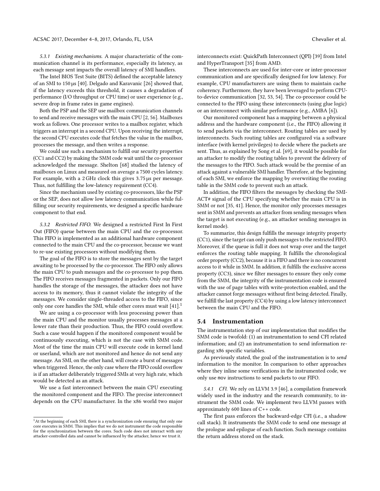5.3.1 Existing mechanisms. A major characteristic of the communication channel is its performance, especially its latency, as each message sent impacts the overall latency of SMI handlers.

The Intel BIOS Test Suite (BITS) defined the acceptable latency of an SMI to 150 µs [40]. Delgado and Karavanic [26] showed that, if the latency exceeds this threshold, it causes a degradation of performance (I/O throughput or CPU time) or user experience (e.g., severe drop in frame rates in game engines).

Both the PSP and the SEP use mailbox communication channels to send and receive messages with the main CPU [2, 56]. Mailboxes work as follows. One processor writes to a mailbox register, which triggers an interrupt in a second CPU. Upon receiving the interrupt, the second CPU executes code that fetches the value in the mailbox, processes the message, and then writes a response.

We could use such a mechanism to fulfill our security properties (CC1 and CC2) by making the SMM code wait until the co-processor acknowledged the message. Shelton [68] studied the latency of mailboxes on Linux and measured on average a 7500 cycles latency. For example, with a 2 GHz clock this gives <sup>3</sup>.<sup>75</sup> µs per message. Thus, not fulfilling the low-latency requirement (CC4).

Since the mechanism used by existing co-processors, like the PSP or the SEP, does not allow low latency communication while fulfilling our security requirements, we designed a specific hardware component to that end.

5.3.2 Restricted FIFO. We designed a restricted First In First Out (FIFO) queue between the main CPU and the co-processor. This FIFO is implemented as an additional hardware component connected to the main CPU and the co-processor, because we want to re-use existing processors without modifying them.

The goal of the FIFO is to store the messages sent by the target awaiting to be processed by the co-processor. The FIFO only allows the main CPU to push messages and the co-processor to pop them. The FIFO receives messages fragmented in packets. Only our FIFO handles the storage of the messages, the attacker does not have access to its memory, thus it cannot violate the integrity of the messages. We consider single-threaded access to the FIFO, since only one core handles the SMI, while other cores must wait [41].<sup>1</sup>

We are using a co-processor with less processing power than the main CPU and the monitor usually processes messages at a lower rate than their production. Thus, the FIFO could overflow. Such a case would happen if the monitored component would be continuously executing, which is not the case with SMM code. Most of the time the main CPU will execute code in kernel land or userland, which are not monitored and hence do not send any message. An SMI, on the other hand, will create a burst of messages when triggered. Hence, the only case where the FIFO could overflow is if an attacker deliberately triggered SMIs at very high rate, which would be detected as an attack.

We use a fast interconnect between the main CPU executing the monitored component and the FIFO. The precise interconnect depends on the CPU manufacturer. In the x86 world two major interconnects exist: QuickPath Interconnect (QPI) [39] from Intel and HyperTransport [35] from AMD.

These interconnects are used for inter-core or inter-processor communication and are specifically designed for low latency. For example, CPU manufacturers are using them to maintain cache coherency. Furthermore, they have been leveraged to perform CPUto-device communication [32, 53, 54]. The co-processor could be connected to the FIFO using these interconnects (using glue logic) or an interconnect with similar performance (e.g., AMBA [6]).

Our monitored component has a mapping between a physical address and the hardware component (i.e., the FIFO) allowing it to send packets via the interconnect. Routing tables are used by interconnects. Such routing tables are configured via a software interface (with kernel privileges) to decide where the packets are sent. Thus, as explained by Song et al. [69], it would be possible for an attacker to modify the routing tables to prevent the delivery of the messages to the FIFO. Such attack would be the premise of an attack against a vulnerable SMI handler. Therefore, at the beginning of each SMI, we enforce the mapping by overwriting the routing table in the SMM code to prevent such an attack.

In addition, the FIFO filters the messages by checking the SMI-ACT# signal of the CPU specifying whether the main CPU is in SMM or not [35, 41]. Hence, the monitor only processes messages sent in SMM and prevents an attacker from sending messages when the target is not executing (e.g., an attacker sending messages in kernel mode).

To summarize, this design fulfills the message integrity property (CC1), since the target can only push messages to the restricted FIFO. Moreover, if the queue is full it does not wrap over and the target enforces the routing table mapping. It fulfills the chronological order property (CC2), because it is a FIFO and there is no concurrent access to it while in SMM. In addition, it fulfills the exclusive access property (CC3), since we filter messages to ensure they only come from the SMM, the integrity of the instrumentation code is ensured with the use of page tables with write-protection enabled, and the attacker cannot forge messages without first being detected. Finally, we fulfill the last property (CC4) by using a low latency interconnect between the main CPU and the FIFO.

#### 5.4 Instrumentation

The instrumentation step of our implementation that modifies the SMM code is twofold: (1) an instrumentation to send CFI related information; and (2) an instrumentation to send information regarding x86 specific variables.

As previously stated, the goal of the instrumentation is to send information to the monitor. In comparison to other approaches where they inline some verifications in the instrumented code, we only use mov instructions to send packets to our FIFO.

5.4.1 CFI. We rely on LLVM 3.9 [46], a compilation framework widely used in the industry and the research community, to instrument the SMM code. We implement two LLVM passes with approximately 600 lines of C++ code.

The first pass enforces the backward-edge CFI (i.e., a shadow call stack). It instruments the SMM code to send one message at the prologue and epilogue of each function. Such message contains the return address stored on the stack.

<sup>&</sup>lt;sup>1</sup>At the beginning of each SMI, there is a synchronization code ensuring that only one core executes in SMM. This implies that we do not instrument the code responsible for the synchronization between the cores. Such code does not interact with any attacker-controlled data and cannot be influenced by the attacker, hence we trust it.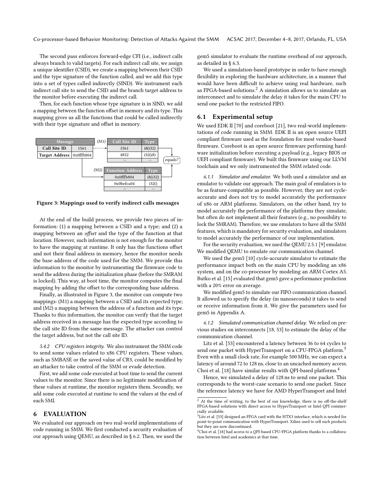The second pass enforces forward-edge CFI (i.e., indirect calls always branch to valid targets). For each indirect call site, we assign a unique identifier (CSID), we create a mapping between their CSID and the type signature of the function called, and we add this type into a set of types called indirectly (SIND). We instrument each indirect call site to send the CSID and the branch target address to the monitor before executing the indirect call.

Then, for each function whose type signature is in SIND, we add a mapping between the function offset in memory and its type. This mapping gives us all the functions that could be called indirectly with their type signature and offset in memory.



Figure 3: Mappings used to verify indirect calls messages

At the end of the build process, we provide two pieces of information: (1) a mapping between a CSID and a type; and (2) a mapping between an offset and the type of the function at that location. However, such information is not enough for the monitor to have the mapping at runtime. It only has the functions offset and not their final address in memory, hence the monitor needs the base address of the code used for the SMM. We provide this information to the monitor by instrumenting the firmware code to send the address during the initialization phase (before the SMRAM is locked). This way, at boot time, the monitor computes the final mapping by adding the offset to the corresponding base address.

Finally, as illustrated in Figure 3, the monitor can compute two mappings: (M1) a mapping between a CSID and its expected type; and (M2) a mapping between the address of a function and its type. Thanks to this information, the monitor can verify that the target address received in a message has the expected type according to the call site ID from the same message. The attacker can control the target address, but not the call site ID.

5.4.2 CPU registers integrity. We also instrument the SMM code to send some values related to x86 CPU registers. These values, such as SMBASE or the saved value of CR3, could be modified by an attacker to take control of the SMM or evade detection.

First, we add some code executed at boot time to send the current values to the monitor. Since there is no legitimate modification of these values at runtime, the monitor registers them. Secondly, we add some code executed at runtime to send the values at the end of each SMI.

## 6 EVALUATION

We evaluated our approach on two real-world implementations of code running in SMM. We first conducted a security evaluation of our approach using QEMU, as described in § 6.2. Then, we used the

gem5 simulator to evaluate the runtime overhead of our approach, as detailed in § 6.3.

We used a simulation-based prototype in order to have enough flexibility in exploring the hardware architecture, in a manner that would have been difficult to achieve using real hardware, such as FPGA-based solutions.<sup>2</sup> A simulation allows us to simulate an interconnect and to simulate the delay it takes for the main CPU to send one packet to the restricted FIFO.

#### 6.1 Experimental setup

We used EDK II [70] and coreboot [21], two real-world implementations of code running in SMM. EDK II is an open source UEFI compliant firmware used as the foundation for most vendor-based firmware. Coreboot is an open source firmware performing hardware initialization before executing a payload (e.g., legacy BIOS or UEFI compliant firmware). We built this firmware using our LLVM toolchain and we only instrumented the SMM related code.

6.1.1 Simulator and emulator. We both used a simulator and an emulator to validate our approach. The main goal of emulators is to be as feature-compatible as possible. However, they are not cycleaccurate and does not try to model accurately the performance of x86 or ARM platforms. Simulators, on the other hand, try to model accurately the performance of the platforms they simulate, but often do not implement all their features (e.g., no possibility to lock the SMRAM). Therefore, we use emulators to have all the SMM features, which is mandatory for security evaluation, and simulators to model accurately the performance of our implementation.

For the security evaluation, we used the QEMU 2.5.1 [9] emulator. We modified QEMU to emulate our communication channel.

We used the gem5 [10] cycle-accurate simulator to estimate the performance impact both on the main CPU by modeling an x86 system, and on the co-processor by modeling an ARM Cortex A5. Butko et al. [15] evaluated that gem5 gave a performance prediction with a 20% error on average.

We modified gem5 to simulate our FIFO communication channel. It allowed us to specify the delay (in nanoseconds) it takes to send or receive information from it. We give the parameters used for gem5 in Appendix A.

6.1.2 Simulated communication channel delay. We relied on previous studies on interconnects [18, 53] to estimate the delay of the communication channel.

Litz et al. [53] encountered a latency between 36 to 64 cycles to send one packet with HyperTransport on a CPU-FPGA platform.<sup>3</sup> Even with a small clock rate, for example 500 MHz, we can expect a latency of around 72 to 128 ns, close to an uncached memory access. Choi et al. [18] have similar results with QPI-based platforms.4

Hence, we simulated a delay of 128 ns to send one packet. This corresponds to the worst-case scenario to send one packet. Since the reference latency we have for AMD HyperTransport and Intel

<sup>&</sup>lt;sup>2</sup> At the time of writing, to the best of our knowledge, there is no off-the-shelf FPGA-based solutions with direct access to HyperTransport or Intel QPI commercially available.

 $^3$  Litz et al. [53] designed an FPGA card with the HTX3 interface, which is needed for point-to-point communication with HyperTransport. Xilinx used to sell such products but they are now discontinued.

<sup>&</sup>lt;sup>4</sup>Choi et al. [18] had access to a QPI-based CPU-FPGA platform thanks to a collaboration between Intel and academics at that time.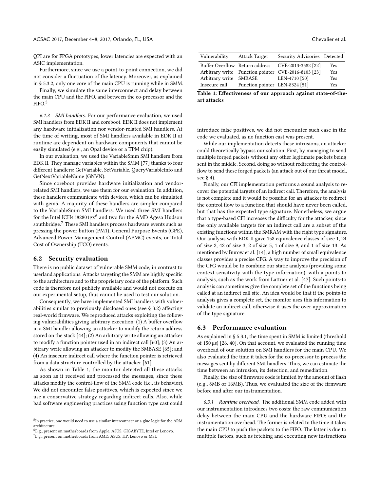QPI are for FPGA prototypes, lower latencies are expected with an ASIC implementation.

Furthermore, since we use a point-to-point connection, we did not consider a fluctuation of the latency. Moreover, as explained in § 5.3.2, only one core of the main CPU is running while in SMM.

Finally, we simulate the same interconnect and delay between the main CPU and the FIFO, and between the co-processor and the FIFO.5

6.1.3 SMI handlers. For our performance evaluation, we used SMI handlers from EDK II and coreboot. EDK II does not implement any hardware initialization nor vendor-related SMI handlers. At the time of writing, most of SMI handlers available in EDK II at runtime are dependent on hardware components that cannot be easily simulated (e.g., an Opal device or a TPM chip).

In our evaluation, we used the VariableSmm SMI handlers from EDK II. They manage variables within the SMM [77] thanks to four different handlers: GetVariable, SetVariable, QueryVariableInfo and GetNextVariableName (GNVN).

Since coreboot provides hardware initialization and vendorrelated SMI handlers, we use them for our evaluation. In addition, these handlers communicate with devices, which can be simulated with gem5. A majority of these handlers are simpler compared to the VariableSmm SMI handlers. We used three SMI handlers for the Intel ICH4 i82801 $gx^6$  and two for the AMD Agesa Hudson southbridge.<sup>7</sup> These SMI handlers process hardware events such as pressing the power button (PM1), General Purpose Events (GPE), Advanced Power Management Control (APMC) events, or Total Cost of Ownership (TCO) events.

## 6.2 Security evaluation

There is no public dataset of vulnerable SMM code, in contrast to userland applications. Attacks targeting the SMM are highly specific to the architecture and to the proprietary code of the platform. Such code is therefore not publicly available and would not execute on our experimental setup, thus cannot be used to test our solution.

Consequently, we have implemented SMI handlers with vulnerabilities similar to previously disclosed ones (see § 3.2) affecting real-world firmware. We reproduced attacks exploiting the following vulnerabilities giving arbitrary execution: (1) A buffer overflow in a SMI handler allowing an attacker to modify the return address stored on the stack [44]; (2) An arbitrary write allowing an attacker to modify a function pointer used in an indirect call [60]; (3) An arbitrary write allowing an attacker to modify the SMBASE [65]; and (4) An insecure indirect call where the function pointer is retrieved from a data structure controlled by the attacker [61].

As shown in Table 1, the monitor detected all these attacks as soon as it received and processed the messages, since these attacks modify the control-flow of the SMM code (i.e., its behavior). We did not encounter false positives, which is expected since we use a conservative strategy regarding indirect calls. Also, while bad software engineering practices using function type cast could

| Vulnerability          | <b>Attack Target</b>           | Security Advisories Detected                        |     |
|------------------------|--------------------------------|-----------------------------------------------------|-----|
|                        |                                | Buffer Overflow Return address CVE-2013-3582 [22]   | Yes |
|                        |                                | Arbitrary write Function pointer CVE-2016-8103 [23] | Yes |
| Arbitrary write SMBASE |                                | LEN-4710 [50]                                       | Yes |
| Insecure call          | Function pointer LEN-8324 [51] |                                                     | Yes |

Table 1: Effectiveness of our approach against state-of-theart attacks

introduce false positives, we did not encounter such case in the code we evaluated, as no function cast was present.

While our implementation detects these intrusions, an attacker could theoretically bypass our solution. First, by managing to send multiple forged packets without any other legitimate packets being sent in the middle. Second, doing so without redirecting the controlflow to send these forged packets (an attack out of our threat model, see § 4).

Finally, our CFI implementation performs a sound analysis to recover the potential targets of an indirect call. Therefore, the analysis is not complete and it would be possible for an attacker to redirect the control flow to a function that should have never been called, but that has the expected type signature. Nonetheless, we argue that a type-based CFI increases the difficulty for the attacker, since the only available targets for an indirect call are a subset of the existing functions within the SMRAM with the right type signature. Our analysis with EDK II gave 158 equivalence classes of size 1, 24 of size 2, 42 of size 3, 2 of size 5, 1 of size 9, and 1 of size 13. As mentioned by Burow et al. [14], a high number of small equivalence classes provides a precise CFG. A way to improve the precision of the CFG would be to combine our static analysis (providing some context-sensitivity with the type information), with a points-to analysis, such as the work from Lattner et al. [47]. Such points-to analysis can sometimes give the complete set of the functions being called at an indirect call site. An idea would be that if the points-to analysis gives a complete set, the monitor uses this information to validate an indirect call, otherwise it uses the over-approximation of the type signature.

#### 6.3 Performance evaluation

As explained in § 5.3.1, the time spent in SMM is limited (threshold of 150 µs) [26, 40]. On that account, we evaluated the running time overhead of our solution on SMI handlers for the main CPU. We also evaluated the time it takes for the co-processor to process the messages sent by different SMI handlers. Thus, we can estimate the time between an intrusion, its detection, and remediation.

Finally, the size of firmware code is limited by the amount of flash (e.g., 8MB or 16MB). Thus, we evaluated the size of the firmware before and after our instrumentation.

6.3.1 Runtime overhead. The additional SMM code added with our instrumentation introduces two costs: the raw communication delay between the main CPU and the hardware FIFO; and the instrumentation overhead. The former is related to the time it takes the main CPU to push the packets to the FIFO. The latter is due to multiple factors, such as fetching and executing new instructions

<sup>&</sup>lt;sup>5</sup>In practice, one would need to use a similar interconnect or a glue logic for the ARM architecture.

<sup>6</sup>E.g., present on motherboards from Apple, ASUS, GIGABYTE, Intel or Lenovo.

<sup>7</sup>E.g., present on motherboards from AMD, ASUS, HP, Lenovo or MSI.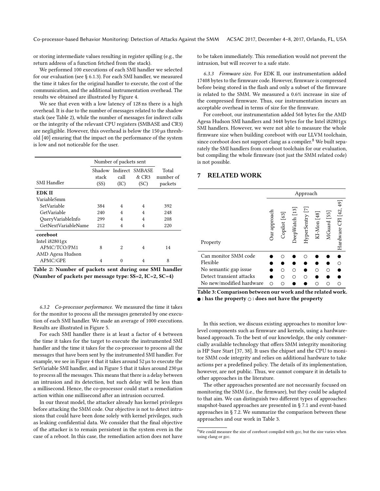or storing intermediate values resulting in register spilling (e.g., the return address of a function fetched from the stack).

We performed 100 executions of each SMI handler we selected for our evaluation (see § 6.1.3). For each SMI handler, we measured the time it takes for the original handler to execute, the cost of the communication, and the additional instrumentation overhead. The results we obtained are illustrated by Figure 4.

We see that even with a low latency of 128 ns there is a high overhead. It is due to the number of messages related to the shadow stack (see Table 2), while the number of messages for indirect calls or the integrity of the relevant CPU registers (SMBASE and CR3) are negligible. However, this overhead is below the 150 µs threshold [40] ensuring that the impact on the performance of the system is low and not noticeable for the user.

|                                | Number of packets sent |                |                                        |                               |
|--------------------------------|------------------------|----------------|----------------------------------------|-------------------------------|
| SMI Handler                    | stack<br>(SS)          | call<br>(IC)   | Shadow Indirect SMBASE<br>&CR3<br>(SC) | Total<br>number of<br>packets |
| EDK II                         |                        |                |                                        |                               |
| VariableSmm                    |                        |                |                                        |                               |
| SetVariable                    | 384                    | 4              | 4                                      | 392                           |
| GetVariable                    | 240                    | $\overline{4}$ | 4                                      | 248                           |
| QueryVariableInfo              | 299                    | $\overline{4}$ | 4                                      | 208                           |
| GetNextVariableName            | 212                    | 4              | 4                                      | 220                           |
| coreboot                       |                        |                |                                        |                               |
| Intel i82801gx<br>APMC/TCO/PM1 | 8                      | 2              | 4                                      | 14                            |
| AMD Agesa Hudson               |                        |                |                                        |                               |
| APMC/GPE                       | 4                      | 0              | 4                                      | 8                             |

Table 2: Number of packets sent during one SMI handler (Number of packets per message type: SS=2, IC=2, SC=4)

6.3.2 Co-processor performance. We measured the time it takes for the monitor to process all the messages generated by one execution of each SMI handler. We made an average of 1000 executions. Results are illustrated in Figure 5.

For each SMI handler there is at least a factor of 4 between the time it takes for the target to execute the instrumented SMI handler and the time it takes for the co-processor to process all the messages that have been sent by the instrumented SMI handler. For example, we see in Figure 4 that it takes around 52 µs to execute the SetVariable SMI handler, and in Figure 5 that it takes around 230 µs to process all the messages. This means that there is a delay between an intrusion and its detection, but such delay will be less than a millisecond. Hence, the co-processor could start a remediation action within one millisecond after an intrusion occurred.

In our threat model, the attacker already has kernel privileges before attacking the SMM code. Our objective is not to detect intrusions that could have been done solely with kernel privileges, such as leaking confidential data. We consider that the final objective of the attacker is to remain persistent in the system even in the case of a reboot. In this case, the remediation action does not have

to be taken immediately. This remediation would not prevent the intrusion, but will recover to a safe state.

6.3.3 Firmware size. For EDK II, our instrumentation added 17408 bytes to the firmware code. However, firmware is compressed before being stored in the flash and only a subset of the firmware is related to the SMM. We measured a 0.6% increase in size of the compressed firmware. Thus, our instrumentation incurs an acceptable overhead in terms of size for the firmware.

For coreboot, our instrumentation added 568 bytes for the AMD Agesa Hudson SMI handlers and 3448 bytes for the Intel i82801gx SMI handlers. However, we were not able to measure the whole firmware size when building coreboot with our LLVM toolchain, since coreboot does not support clang as a compiler.<sup>8</sup> We built separately the SMI handlers from coreboot toolchain for our evaluation, but compiling the whole firmware (not just the SMM related code) is not possible.

## 7 RELATED WORK

|                          | Approach     |              |                |                      |             |             |                       |
|--------------------------|--------------|--------------|----------------|----------------------|-------------|-------------|-----------------------|
| Property                 | Jur approach | Copilot [63] | DeepWatch [13] | $\Xi$<br>HyperSentry | KI-Mon [48] | MGuard [55] | Hardware CFI [42, 49] |
| Can monitor SMM code     |              |              |                |                      |             |             |                       |
| Flexible                 |              |              |                |                      |             |             |                       |
| No semantic gap issue    |              |              |                |                      |             |             |                       |
| Detect transient attacks |              |              |                |                      |             |             |                       |
| No new/modified hardware |              |              |                |                      |             |             |                       |

Table 3: Comparison between our work and the related work.  $\bullet$ : has the property  $\circ$ : does not have the property

In this section, we discuss existing approaches to monitor lowlevel components such as firmware and kernels, using a hardwarebased approach. To the best of our knowledge, the only commercially available technology that offers SMM integrity monitoring is HP Sure Start [37, 38]. It uses the chipset and the CPU to monitor SMM code integrity and relies on additional hardware to take actions per a predefined policy. The details of its implementation, however, are not public. Thus, we cannot compare it in details to other approaches in the literature.

The other approaches presented are not necessarily focused on monitoring the SMM (i.e., the firmware), but they could be adapted to that aim. We can distinguish two different types of approaches: snapshot-based approaches are presented in § 7.1 and event-based approaches in § 7.2. We summarize the comparison between these approaches and our work in Table 3.

 $^8\rm{We}$  could measure the size of coreboot compiled with gcc, but the size varies when using clang or gcc.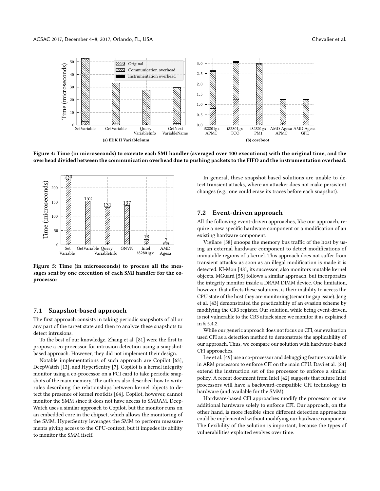

Figure 4: Time (in microseconds) to execute each SMI handler (averaged over 100 executions) with the original time, and the overhead divided between the communication overhead due to pushing packets to the FIFO and the instrumentation overhead.



Figure 5: Time (in microseconds) to process all the messages sent by one execution of each SMI handler for the coprocessor

#### 7.1 Snapshot-based approach

The first approach consists in taking periodic snapshots of all or any part of the target state and then to analyze these snapshots to detect intrusions.

To the best of our knowledge, Zhang et al. [81] were the first to propose a co-processor for intrusion detection using a snapshotbased approach. However, they did not implement their design.

Notable implementations of such approach are Copilot [63], DeepWatch [13], and HyperSentry [7]. Copilot is a kernel integrity monitor using a co-processor on a PCI card to take periodic snapshots of the main memory. The authors also described how to write rules describing the relationships between kernel objects to detect the presence of kernel rootkits [64]. Copilot, however, cannot monitor the SMM since it does not have access to SMRAM. Deep-Watch uses a similar approach to Copilot, but the monitor runs on an embedded core in the chipset, which allows the monitoring of the SMM. HyperSentry leverages the SMM to perform measurements giving access to the CPU-context, but it impedes its ability to monitor the SMM itself.

In general, these snapshot-based solutions are unable to detect transient attacks, where an attacker does not make persistent changes (e.g., one could erase its traces before each snapshot).

## 7.2 Event-driven approach

All the following event-driven approaches, like our approach, require a new specific hardware component or a modification of an existing hardware component.

Vigilare [58] snoops the memory bus traffic of the host by using an external hardware component to detect modifications of immutable regions of a kernel. This approach does not suffer from transient attacks: as soon as an illegal modification is made it is detected. KI-Mon [48], its successor, also monitors mutable kernel objects. MGuard [55] follows a similar approach, but incorporates the integrity monitor inside a DRAM DIMM device. One limitation, however, that affects these solutions, is their inability to access the CPU state of the host they are monitoring (semantic gap issue). Jang et al. [43] demonstrated the practicability of an evasion scheme by modifying the CR3 register. Our solution, while being event-driven, is not vulnerable to the CR3 attack since we monitor it as explained in § 5.4.2.

While our generic approach does not focus on CFI, our evaluation used CFI as a detection method to demonstrate the applicability of our approach. Thus, we compare our solution with hardware-based CFI approaches.

Lee et al. [49] use a co-processor and debugging features available in ARM processors to enforce CFI on the main CPU. Davi et al. [24] extend the instruction set of the processor to enforce a similar policy. A recent document from Intel [42] suggests that future Intel processors will have a backward-compatible CFI technology in hardware (and available for the SMM).

Hardware-based CFI approaches modify the processor or use additional hardware solely to enforce CFI. Our approach, on the other hand, is more flexible since different detection approaches could be implemented without modifying our hardware component. The flexibility of the solution is important, because the types of vulnerabilities exploited evolves over time.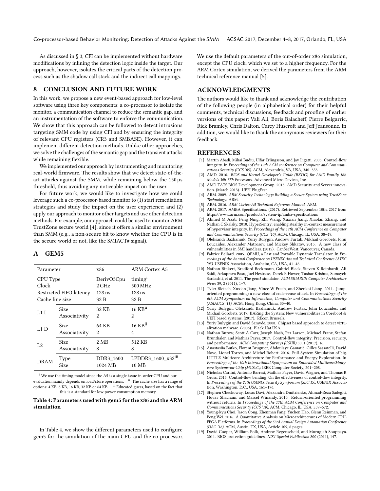Co-processor-based Behavior Monitoring: Detection of Attacks Against the SMM ACSAC 2017, December 4–8, 2017, Orlando, FL, USA

As discussed in § 3, CFI can be implemented without hardware modifications by inlining the detection logic inside the target. Our approach, however, isolates the critical parts of the detection process such as the shadow call stack and the indirect call mappings.

#### 8 CONCLUSION AND FUTURE WORK

In this work, we propose a new event-based approach for low-level software using three key components: a co-processor to isolate the monitor, a communication channel to reduce the semantic gap, and an instrumentation of the software to enforce the communication. We show that this approach can be followed to detect intrusions targeting SMM code by using CFI and by ensuring the integrity of relevant CPU registers (CR3 and SMBASE). However, it can implement different detection methods. Unlike other approaches, we solve the challenges of the semantic gap and the transient attacks while remaining flexible.

We implemented our approach by instrumenting and monitoring real-world firmware. The results show that we detect state-of-theart attacks against the SMM, while remaining below the 150 µs threshold, thus avoiding any noticeable impact on the user.

For future work, we would like to investigate how we could leverage such a co-processor-based monitor to (1) start remediation strategies and study the impact on the user experience; and (2) apply our approach to monitor other targets and use other detection methods. For example, our approach could be used to monitor ARM TrustZone secure world [4], since it offers a similar environment than SMM (e.g., a non-secure bit to know whether the CPU is in the secure world or not, like the SMIACT# signal).

#### A GEM5

| Parameter               |                              | x86                  | ARM Cortex A5                              |
|-------------------------|------------------------------|----------------------|--------------------------------------------|
| CPU Type                |                              | DerivO3Cpu           | $\mathrm{timing}^1$                        |
| Clock                   |                              | $2$ GHz              | 500 MHz                                    |
| Restricted FIFO latency |                              | $128$ ns             | $128$ ns                                   |
| Cache line size         |                              | 32 B                 | 32 B                                       |
| L1I                     | <b>Size</b><br>Associativity | 32 KB<br>2           | $16$ KB $^{ii}$<br>2                       |
|                         |                              |                      |                                            |
| L1 D                    | Size                         | 64 KB                | $16$ KB $\rm ii$                           |
|                         | Associativity                | 2                    | 4                                          |
| L2                      | <b>Size</b>                  | 2 <sub>MB</sub>      | 512 KB                                     |
|                         | Associativity                | 8                    | 8                                          |
| DRAM                    | Type<br><b>Size</b>          | DDR3 1600<br>1024 MB | LPDDR3_1600_ $x32$ <sup>iii</sup><br>10 MB |

 $^{\rm i}$  We use the timing model since the A5 is a single-issue in-order CPU and our evaluation mainly depends on load/store operations. ii The cache size has a range of options: 4 KB, 8 KB, 16 KB, 32 KB or 64 KB. iii Educated guess, based on the fact that this is a standard for low power consumption memory.

#### Table 4: Parameters used with gem5 for the x86 and the ARM simulation

In Table 4, we show the different parameters used to configure gem5 for the simulation of the main CPU and the co-processor. We use the default parameters of the out-of-order x86 simulation, except the CPU clock, which we set to a higher frequency. For the ARM Cortex simulation, we derived the parameters from the ARM technical reference manual [5].

### ACKNOWLEDGMENTS

The authors would like to thank and acknowledge the contribution of the following people (in alphabetical order) for their helpful comments, technical discussions, feedback and proofing of earlier versions of this paper: Vali Ali, Boris Balacheff, Pierre Belgarric, Rick Bramley, Chris Dalton, Carey Huscroft and Jeff Jeansonne. In addition, we would like to thank the anonymous reviewers for their feedback.

## **REFERENCES**

- [1] Martín Abadi, Mihai Budiu, Ulfar Erlingsson, and Jay Ligatti. 2005. Control-flow integrity. In Proceedings of the 12th ACM conference on Computer and Communications Security (CCS '05). ACM, Alexandria, VA, USA, 340–353.
- AMD. 2016. BIOS and Kernel Developer's Guide (BKDG) for AMD Family 16h Models 30h-3Fh Processors. Advanced Micro Devices, Inc.
- [3] AMD TATS BIOS Development Group. 2013. AMD Security and Server innovation. (March 2013). UEFI PlugFest.
- [4] ARM. 2009. ARM Security Technology: Building a Secure System using TrustZone Technology. ARM.
- [5] ARM. 2016. ARM Cortex-A5 Technical Reference Manual. ARM.
- [6] ARM. 2017. AMBA Specifications. (2017). Retrieved September 10th, 2017 from <https://www.arm.com/products/system-ip/amba-specifications>
- [7] Ahmed M Azab, Peng Ning, Zhi Wang, Xuxian Jiang, Xiaolan Zhang, and Nathan C Skalsky. 2010. HyperSentry: enabling stealthy in-context measurement of hypervisor integrity. In Proceedings of the 17th ACM Conference on Computer and Communications Security (CCS '10). ACM, Chicago, IL, USA, 38–49.
- [8] Oleksandr Bazhaniuk, Yuriy Bulygin, Andrew Furtak, Mikhail Gorobets, John Loucaides, Alexander Matrosov, and Mickey Shkatov. 2015. A new class of vulnerabilities in SMI handlers. (2015). CanSecWest, Vancouver, Canada.
- [9] Fabrice Bellard. 2005. QEMU, a Fast and Portable Dynamic Translator. In Proceedings of the Annual Conference on USENIX Annual Technical Conference (ATEC '05). USENIX Association, Anaheim, CA, USA, 41–46.
- [10] Nathan Binkert, Bradford Beckmann, Gabriel Black, Steven K Reinhardt, Ali Saidi, Arkaprava Basu, Joel Hestness, Derek R Hower, Tushar Krishna, Somayeh Sardashti, et al. 2011. The gem5 simulator. ACM SIGARCH Computer Architecture News 39, 2 (2011), 1–7.
- [11] Tyler Bletsch, Xuxian Jiang, Vince W Freeh, and Zhenkai Liang. 2011. Jumporiented programming: a new class of code-reuse attack. In Proceedings of the 6th ACM Symposium on Information, Computer and Communications Security (ASIACCS '11). ACM, Hong Kong, China, 30–40.
- [12] Yuriy Bulygin, Oleksandr Bazhaniuk, Andrew Furtak, John Loucaides, and Mikhail Gorobets. 2017. BARing the System: New vulnerabilities in Coreboot  $\&$ UEFI based systems. (2017). REcon Brussels.
- [13] Yuriy Bulygin and David Samyde. 2008. Chipset based approach to detect virtualization malware. (2008). Black Hat USA.
- [14] Nathan Burow, Scott A Carr, Joseph Nash, Per Larsen, Michael Franz, Stefan Brunthaler, and Mathias Payer. 2017. Control-flow integrity: Precision, security, and performance. ACM Computing Surveys (CSUR) 50, 1 (2017), 16.
- [15] Anastasiia Butko, Florent Bruguier, Abdoulaye Gamatié, Gilles Sassatelli, David Novo, Lionel Torres, and Michel Robert. 2016. Full-System Simulation of big. LITTLE Multicore Architecture for Performance and Energy Exploration. In Proceedings of the 10th International Symposium on Embedded Multicore/Manycore Systems-on-Chip (MCSoC). IEEE Computer Society, 201–208.
- [16] Nicholas Carlini, Antonio Barresi, Mathias Payer, David Wagner, and Thomas R Gross. 2015. Control-flow bending: On the effectiveness of control-flow integrity. In Proceedings of the 24th USENIX Security Symposium (SEC'15). USENIX Association, Washington, D.C., USA, 161–176.
- [17] Stephen Checkoway, Lucas Davi, Alexandra Dmitrienko, Ahmad-Reza Sadeghi, Hovav Shacham, and Marcel Winandy. 2010. Return-oriented programming without returns. In Proceedings of the 17th ACM Conference on Computer and Communications Security (CCS '10). ACM, Chicago, IL, USA, 559–572.
- [18] Young-kyu Choi, Jason Cong, Zhenman Fang, Yuchen Hao, Glenn Reinman, and Peng Wei. 2016. A Quantitative Analysis on Microarchitectures of Modern CPU-FPGA Platforms. In Proceedings of the 53rd Annual Design Automation Conference (DAC '16). ACM, Austin, TX, USA, Article 109, 6 pages.
- [19] David Cooper, William Polk, Andrew Regenscheid, and Murugiah Souppaya. 2011. BIOS protection guidelines. NIST Special Publication 800 (2011), 147.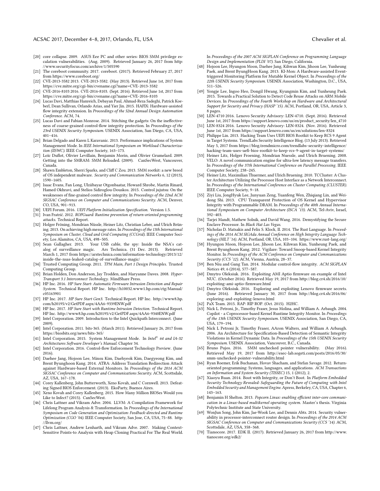- [20] core collapse. 2009. ASUS Eee PC and other series: BIOS SMM privilege escalation vulnerabilities. (Aug. 2009). Retrieved January 26, 2017 from [http:](http://www.securityfocus.com/archive/1/505590) [//www.securityfocus.com/archive/1/505590](http://www.securityfocus.com/archive/1/505590)
- [21] The coreboot community. 2017. coreboot. (2017). Retrieved February 27, 2017 from<https://www.coreboot.org/>
- [22] CVE-2013-3582 2013. CVE-2013-3582. (May 2013). Retrieved June 1st, 2017 from <https://cve.mitre.org/cgi-bin/cvename.cgi?name=CVE-2013-3582>
- [23] CVE-2016-8103 2016. CVE-2016-8103. (Sept. 2016). Retrieved June 1st, 2017 from <https://cve.mitre.org/cgi-bin/cvename.cgi?name=CVE-2016-8103>
- [24] Lucas Davi, Matthias Hanreich, Debayan Paul, Ahmad-Reza Sadeghi, Patrick Koeberl, Dean Sullivan, Orlando Arias, and Yier Jin. 2015. HAFIX: Hardware-assisted flow integrity extension. In Proceedings of the 52nd Annual Design Automation Conference. ACM, 74.
- [25] Lucas Davi and Fabian Monrose. 2014. Stitching the gadgets: On the ineffectiveness of coarse-grained control-flow integrity protection. In Proceedings of the 23rd USENIX Security Symposium. USENIX Association, San Diego, CA, USA, 401–416.
- [26] Brian Delgado and Karen L Karavanic. 2013. Performance implications of System Management Mode. In IEEE International Symposium on Workload Characterization (IISWC). IEEE Computer Society, 163–173.
- [27] Loïc Duflot, Olivier Levillain, Benjamin Morin, and Olivier Grumelard. 2009. Getting into the SMRAM: SMM Reloaded. (2009). CanSecWest, Vancouver, Canada.
- [28] Shawn Embleton, Sherri Sparks, and Cliff C Zou. 2013. SMM rootkit: a new breed of OS independent malware. Security and Communication Networks 6, 12 (2013), 1590–1605.
- [29] Isaac Evans, Fan Long, Ulziibayar Otgonbaatar, Howard Shrobe, Martin Rinard, Hamed Okhravi, and Stelios Sidiroglou-Douskos. 2015. Control jujutsu: On the weaknesses of fine-grained control flow integrity. In Proceedings of the 22nd ACM SIGSAC Conference on Computer and Communications Security. ACM, Denver, CO, USA, 901–913.
- [30] UEFI Forum. 2016. UEFI Platform Initialization Specification. Version 1.5.
- [31] Ivan Fratrić. 2012. ROPGuard: Runtime prevention of return-oriented programming attacks. Technical Report.
- [32] Holger Fröning, Mondrian Nüssle, Heiner Litz, Christian Leber, and Ulrich Brüning. 2013. On achieving high message rates. In Proceedings of the 13th International Symposium on Cluster, Cloud and Grid Computing (CCGrid). IEEE Computer Society, Los Alamitos, CA, USA, 498–505.
- [33] Sean Gallagher. 2013. Your USB cable, the spy: Inside the NSA's cat-alog of surveillance magic. Ars Technica. (31 Dec. 2013). Retrieved March 1, 2017 from [https://arstechnica.com/information-technology/2013/12/](https://arstechnica.com/information-technology/2013/12/inside-the-nsas-leaked-catalog-of-surveillance-magic/) [inside-the-nsas-leaked-catalog-of-surveillance-magic/](https://arstechnica.com/information-technology/2013/12/inside-the-nsas-leaked-catalog-of-surveillance-magic/)
- [34] Trusted Computing Group. 2011. TPM Main, Part 1 Design Principles. Trusted Computing Group.
- [35] Brian Holden, Don Anderson, Jay Trodden, and Maryanne Daves. 2008. Hyper-Transport 3.1 Interconnect Technology. MindShare Press.
- [36] HP Inc. 2016. HP Sure Start: Automatic Firmware Intrusion Detection and Repair System. Technical Report. HP Inc. [http://h10032.www1.hp.com/ctg/Manual/](http://h10032.www1.hp.com/ctg/Manual/c05163901) [c05163901](http://h10032.www1.hp.com/ctg/Manual/c05163901)
- [37] HP Inc. 2017. HP Sure Start Gen3. Technical Report. HP Inc. [http://www8.hp.](http://www8.hp.com/h20195/v2/GetPDF.aspx/4AA6-9339ENW.pdf) [com/h20195/v2/GetPDF.aspx/4AA6-9339ENW.pdf](http://www8.hp.com/h20195/v2/GetPDF.aspx/4AA6-9339ENW.pdf)
- [38] HP Inc. 2017. HP Sure Start with Runtime Intrusion Detection. Technical Report. HP Inc.<http://www8.hp.com/h20195/v2/GetPDF.aspx/4AA6-9340ENW.pdf>
- [39] Intel Corporation. 2009. Introduction to the Intel Quickpath Interconnect. (June 2009).
- [40] Intel Corporation. 2011. bits-365. (March 2011). Retrieved January 26, 2017 from <https://biosbits.org/news/bits-365/>
- [41] Intel Corporation. 2015. System Management Mode. In Intel® 64 and IA-32 Architectures Software Developer's Manual. Chapter 34.
- [42] Intel Corporation. 2016. Control-flow Enforcement Technology Preview. (June 2016).
- [43] Daehee Jang, Hojoon Lee, Minsu Kim, Daehyeok Kim, Daegyeong Kim, and Brent Byunghoon Kang. 2014. ATRA: Address Translation Redirection Attack against Hardware-based External Monitors. In Proceedings of the 2014 ACM SIGSAC Conference on Computer and Communications Security. ACM, Scottsdale, AZ, USA, 167–178.
- [44] Corey Kallenberg, John Butterworth, Xeno Kovah, and C Cornwell. 2013. Defeating Signed BIOS Enforcement. (2013). EkoParty, Buenos Aires.
- [45] Xeno Kovah and Corey Kallenberg. 2015. How Many Million BIOSes Would you Like to Infect? (2015). CanSecWest.
- [46] Chris Lattner and Vikram Adve. 2004. LLVM: A Compilation Framework for Lifelong Program Analysis & Transformation. In Proceedings of the International Symposium on Code Generation and Optimization: Feedback-directed and Runtime Optimization (CGO '04). IEEE Computer Society, San Jose, CA, USA, 75–88. [http:](http://llvm.org/) [//llvm.org/](http://llvm.org/)
- [47] Chris Lattner, Andrew Lenharth, and Vikram Adve. 2007. Making Context-Sensitive Points-to Analysis with Heap Cloning Practical For The Real World.

In Proceedings of the 2007 ACM SIGPLAN Conference on Programming Language Design and Implementation (PLDI '07). San Diego, California.

- [48] Hojoon Lee, Hyungon Moon, Daehee Jang, Kihwan Kim, Jihoon Lee, Yunheung Paek, and Brent ByungHoon Kang. 2013. KI-Mon: A Hardware-assisted Eventtriggered Monitoring Platform for Mutable Kernel Object. In Proceedings of the 22th USENIX Security Symposium. USENIX Association, Washington, D.C., USA, 511–526.
- [49] Yongje Lee, Ingoo Heo, Dongil Hwang, Kyungmin Kim, and Yunheung Paek. 2015. Towards a Practical Solution to Detect Code Reuse Attacks on ARM Mobile Devices. In Proceedings of the Fourth Workshop on Hardware and Architectural Support for Security and Privacy (HASP '15). ACM, Portland, OR, USA, Article 3, 8 pages.
- [50] LEN-4710 2016. Lenovo Security Advisory: LEN-4710. (Sept. 2016). Retrieved June 1st, 2017 from [https://support.lenovo.com/us/en/product\\_security/len\\_4710](https://support.lenovo.com/us/en/product_security/len_4710)
- [51] LEN-8324 2016. Lenovo Security Advisory: LEN-8324. (Nov. 2016). Retrieved June 1st, 2017 from<https://support.lenovo.com/us/en/solutions/len-8324>
- [52] Philippe Lin. 2013. Hacking Team Uses UEFI BIOS Rootkit to Keep RCS 9 Agent in Target Systems. TrendLabs Security Intelligence Blog. (13 July 2013). Retrieved May 5, 2017 from [https://blog.trendmicro.com/trendlabs-security-intelligence/](https://blog.trendmicro.com/trendlabs-security-intelligence/hacking-team-uses-uefi-bios-rootkit-to-keep-rcs-9-agent-in-target-systems/) [hacking-team-uses-uefi-bios-rootkit-to-keep-rcs-9-agent-in-target-systems/](https://blog.trendmicro.com/trendlabs-security-intelligence/hacking-team-uses-uefi-bios-rootkit-to-keep-rcs-9-agent-in-target-systems/)
- [53] Heiner Litz, Holger Froening, Mondrian Nuessle, and Ulrich Bruening. 2008. VELO: A novel communication engine for ultra-low latency message transfers. In Proceedings of the 37th International Conference on Parallel Processing. IEEE Computer Society, 238–245.
- [54] Heiner Litz, Maximilian Thuermer, and Ulrich Bruening. 2010. TCCluster: A Cluster Architecture Utilizing the Processor Host Interface as a Network Interconnect. In Proceedings of the International Conference on Cluster Computing (CLUSTER). IEEE Computer Society, 9–18.
- [55] Ziyi Liu, JongHyuk Lee, Junyuan Zeng, Yuanfeng Wen, Zhiqiang Lin, and Weidong Shi. 2013. CPU Transparent Protection of OS Kernel and Hypervisor Integrity with Programmable DRAM. In Proceedings of the 40th Annual International Symposium on Computer Architecture (ISCA '13). ACM, Tel-Aviv, Israel, 392–403.
- [56] Tarjei Mandt, Mathew Solnik, and David Wang. 2016. Demystifying the Secure Enclave Processor. In Black Hat Las Vegas.
- [57] Nicholas D. Matsakis and Felix S. Klock, II. 2014. The Rust Language. In Proceedings of the 2014 ACM SIGAda Annual Conference on High Integrity Language Technology (HILT '14). ACM, Portland, OR, USA, 103–104.<https://www.rust-lang.org/>
- [58] Hyungon Moon, Hojoon Lee, Jihoon Lee, Kihwan Kim, Yunheung Paek, and Brent Byunghoon Kang. 2012. Vigilare: Toward Snoop-based Kernel Integrity Monitor. In Proceedings of the ACM Conference on Computer and Communications Security (CCS '12). ACM, Vienna, Austria, 28–37.
- [59] Ben Niu and Gang Tan. 2014. Modular control-flow integrity. ACM SIGPLAN Notices 49, 6 (2014), 577–587.
- [60] Dmytro Oleksiuk. 2016. Exploiting AMI Aptio firmware on example of Intel NUC. (October 2016). Retrieved May 19, 2017 from [http://blog.cr4.sh/2016/10/](http://blog.cr4.sh/2016/10/exploiting-ami-aptio-firmware.html) [exploiting-ami-aptio-firmware.html](http://blog.cr4.sh/2016/10/exploiting-ami-aptio-firmware.html)
- [61] Dmytro Oleksiuk. 2016. Exploring and exploiting Lenovo firmware secrets. (June 2016). Retrieved January 30, 2017 from [http://blog.cr4.sh/2016/06/](http://blog.cr4.sh/2016/06/exploring-and-exploiting-lenovo.html) [exploring-and-exploiting-lenovo.html](http://blog.cr4.sh/2016/06/exploring-and-exploiting-lenovo.html)
- [62] PaX Team. 2015. RAP: RIP ROP. (Oct. 2015). H2HC.
- [63] Nick L. Petroni, Jr., Timothy Fraser, Jesus Molina, and William A. Arbaugh. 2004. Copilot - a Coprocessor-based Kernel Runtime Integrity Monitor. In Proceedings of the 13th USENIX Security Symposium. USENIX Association, San Diego, CA, USA, 179–194.
- [64] Nick L Petroni Jr, Timothy Fraser, AAron Walters, and William A Arbaugh. 2006. An Architecture for Specification-Based Detection of Semantic Integrity Violations in Kernel Dynamic Data. In Proceedings of the 15th USENIX Security Symposium. USENIX Association, Vancouver, B.C., Canada.
- [65] Bruno Pujos. 2016. SMM unchecked pointer vulnerability. (May 2016). Retrieved May 19, 2017 from [http://esec-lab.sogeti.com/posts/2016/05/30/](http://esec-lab.sogeti.com/posts/2016/05/30/smm-unchecked-pointer-vulnerability.html) [smm-unchecked-pointer-vulnerability.html](http://esec-lab.sogeti.com/posts/2016/05/30/smm-unchecked-pointer-vulnerability.html)
- [66] Ryan Roemer, Erik Buchanan, Hovav Shacham, and Stefan Savage. 2012. Returnoriented programming: Systems, languages, and applications. ACM Transactions on Information and System Security (TISSEC) 15, 1 (2012), 2.
- [67] Xiaoyu Ruan. 2014. Boot with Integrity, or Don't Boot. In Platform Embedded Security Technology Revealed: Safeguarding the Future of Computing with Intel Embedded Security and Management Engine. Apress, Berkeley, CA, USA, Chapter 6, 143–163.
- [68] Benjamin H Shelton. 2013. Popcorn Linux: enabling efficient inter-core communication in a Linux-based multikernel operating system. Master's thesis. Virginia Polytechnic Institute and State University.
- [69] WonJun Song, John Kim, Jae-Wook Lee, and Dennis Abts. 2014. Security vulnerability in processor-interconnect router design. In Proceedings of the 2014 ACM SIGSAC Conference on Computer and Communications Security (CCS '14). ACM, Scottsdale, AZ, USA, 358–368.
- [70] Tianocore. 2017. EDK II. (2017). Retrieved January 26, 2017 from [http://www.](http://www.tianocore.org/edk2/) [tianocore.org/edk2/](http://www.tianocore.org/edk2/)